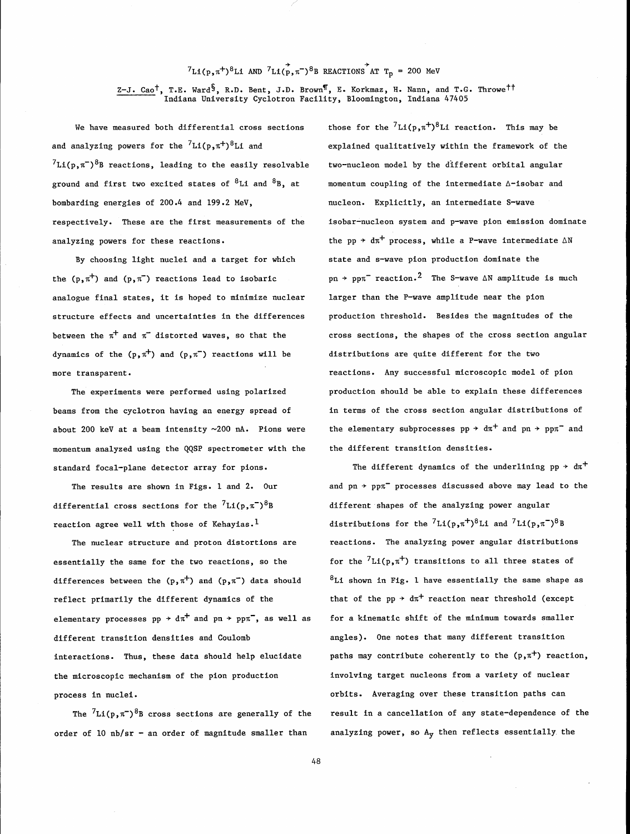## $7_{L1(p,\pi^{+})^{8}L1}$  AND  $7_{L1(p,\pi^{-})^{8}B}$  REACTIONS AT  $T_{p}$  = 200 MeV

Z-J. Cao<sup>t</sup>, T.E. Ward<sup>s</sup>, R.D. Bent, J.D. Brown<sup>¶</sup>, E. Korkmaz, H. Nann, and T.G. Throwe<sup>tt</sup> Indiana University Cyclotron Facility, Bloomington, Indiana 47405

We have measured both differential cross sections bthose for the  $^{7}{\rm Li(p,r^+)}^8{\rm Li}$  reaction. This may be and analyzing powers for the  ${}^{7}Li(p, \pi^{+}){}^{8}Li$  and  ${}^{7}Li(p,\pi^{-})$ <sup>8</sup>B reactions, leading to the easily resolvable ground and first two excited states of  ${}^{8}$ Li and  ${}^{8}$ B, at bombarding energies of 200.4 and 199.2 MeV, respectively. These are the first measurements of the analyzing powers for these reactions.

By choosing light nuclei and a target for which the  $(p, \pi^+)$  and  $(p, \pi^-)$  reactions lead to isobaric analogue final states, it is hoped to minimize nuclear structure effects and uncertainties in the differences between the  $\pi^+$  and  $\pi^-$  distorted waves, so that the dynamics of the  $(p, \pi^+)$  and  $(p, \pi^-)$  reactions will be more transparent.

The experiments were performed using polarized beams from the cyclotron having an energy spread of about 200 keV at a beam intensity -200 **nA.** Pions were momentum analyzed using the QQSP spectrometer with the standard focal-plane detector array for pions.

The results are shown in Figs. 1 and 2. Our differential cross sections for the  ${}^{7}Li(p,\pi^-)^{8}B$ reaction agree well with those of Kehayias.<sup>1</sup>

The nuclear structure and proton distortions are essentially the same for the two reactions, so the differences between the  $(p, \pi^+)$  and  $(p, \pi^-)$  data should reflect primarily the different dynamics of the elementary processes  $pp \rightarrow d\pi^{+}$  and  $pn \rightarrow pp\pi^{-}$ , as well as different transition densities and Coulomb interactions. Thus, these data should help elucidate the microscopic mechanism of the pion production process in nuclei.

The  ${}^{7}Li(p, \pi^{-})$ <sup>8</sup>B cross sections are generally of the order of 10 nb/sr - an order of magnitude smaller than

explained qualitatively within the framework of the two-nucleon model by the different orbital angular momentum coupling of the intermediate A-isobar and nucleon. Explicitly, an intermediate S-wave isobar-nucleon system and p-wave pion emission domfnate the pp  $\rightarrow$  d $\pi$ <sup>+</sup> process, while a P-wave intermediate  $\Delta N$ state and s-wave pion production dominate the pn  $\rightarrow$  pp $\pi^-$  reaction.<sup>2</sup> The S-wave  $\triangle N$  amplitude is much larger than the P-wave amplitude near the pion production threshold. Besides the magnitudes of the cross sections, the shapes of the cross section angular distributions are quite different for the two reactions. Any successful microscopic model of pion production should be able to explain these differences in terms of the cross section angular distributions of the elementary subprocesses  $pp \rightarrow d\pi^{+}$  and  $pn \rightarrow pp\pi^{-}$  and the different transition densities.

The different dynamics of the underlining  $pp \rightarrow d\pi^{+}$ and  $pn \rightarrow pp\pi^-$  processes discussed above may lead to the different shapes of the analyzing power angular distributions for the  ${}^{7}Li(p,\pi^{+}){}^{8}Li$  and  ${}^{7}Li(p,\pi^{-}){}^{8}B$ reactions. The analyzing power angular distributions for the  ${}^{7}Li(p,\pi^{+})$  transitions to all three states of  ${}^{8}$ Li shown in Fig. 1 have essentially the same shape as that of the pp  $\rightarrow$  d $\pi$ <sup>+</sup> reaction near threshold (except for a kinematic shift of the minimum towards smaller angles). One notes that many different transition paths may contribute coherently to the  $(p,\pi^+)$  reaction, involving target nucleons from a variety of nuclear orbits. Averaging over these transition paths can result in a cancellation of any state-dependence of the analyzing power, so Ay then reflects essentially the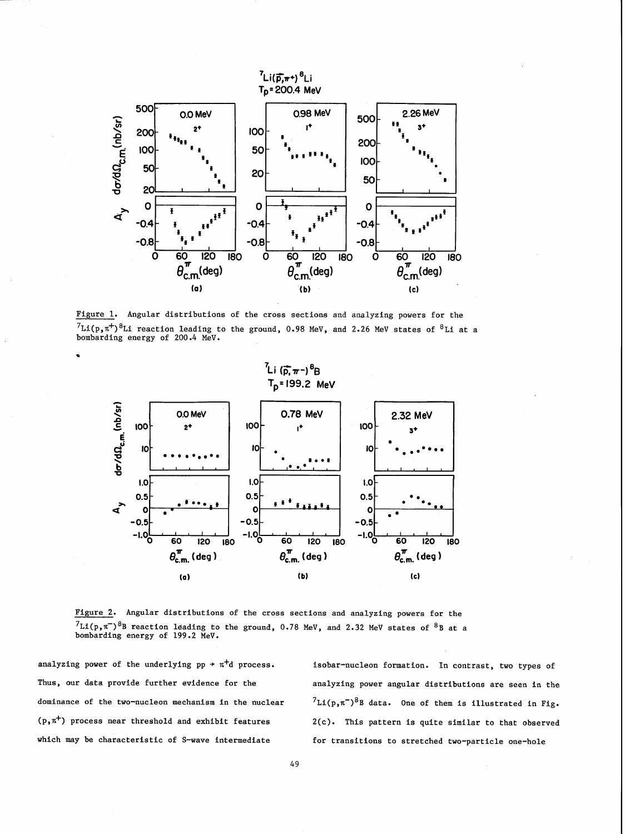

Figure 1. Angular distributions of the cross sections and analyzing powers for the  ${}^{7}Li(p,\pi^{+}){}^{8}Li$  reaction leading to the ground, 0.98 MeV, and 2.26 MeV states of  ${}^{8}Li$  at a bombarding energy of 200.4 MeV.



Figure 2. Angular distributions of the cross sections and analyzing powers for the  $^{7}Li(p,n^{-})^{8}B$  reaction leading to the ground, 0.78 MeV, and 2.32 MeV states of  $^{8}B$  at a bombarding energy of 199.2 MeV.

analyzing power of the underlying  $pp \rightarrow \pi^+d$  process. isobar-nucleon formation. In contrast, two types of

Thus, our data provide further evidence for the analyzing power angular distributions are seen in the dominance of the two-nucleon mechanism in the nuclear  ${}^{7}Li(p,\pi^{-})^{8}B$  data. One of them is illustrated in Fig.<br>(p, $\pi^{+}$ ) process near threshold and exhibit features 2(c). This pattern is quite similar to that observed 2(c). This pattern is quite similar to that observed which may be characteristic of S-wave intermediate for transitions to stretched two-particle one-hole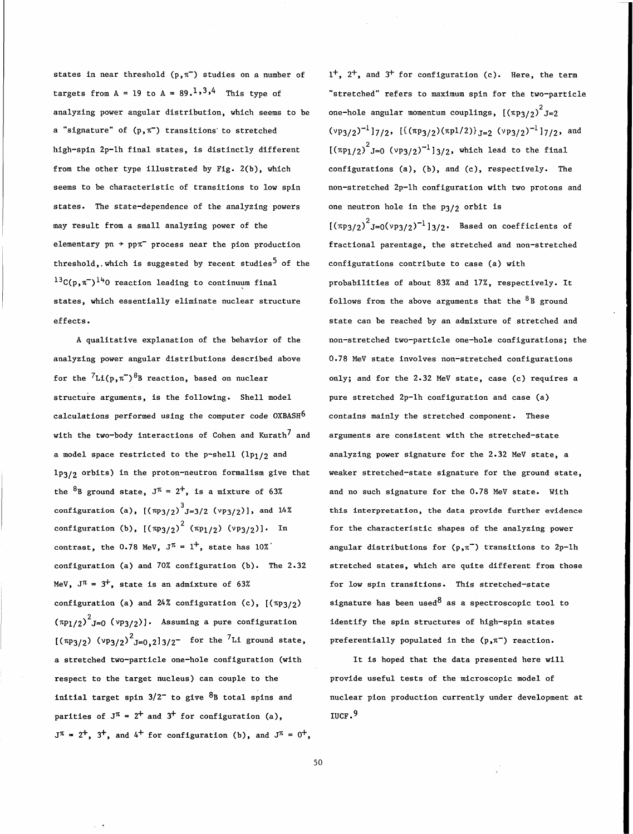analyzing power angular distribution, which seems to be one-hole angular momentum couplings,  $\left[\left(\pi p_3/2\right)^2 J=2\right]$ a "signature" of (p, $\pi^-$ ) transitions to stretched  $(\nu p_{3/2})^{-1}$ ] $_{7/2}$ , [{ $(\pi p_{3/2})$ ( $\pi p1/2$ )}  $_{J=2}$  ( $\nu p_{3/2}$ )<sup>-1</sup>] $_{7/2}$ , and high-spin 2p-lh final states, is distinctly different  $[(\pi p_1/z)^2]_{=0}$  ( $\gamma p_3/z$ )<sup>-1</sup>]3/2, which lead to the final from the other type illustrated by Fig. 2(b), which configurations (a), (b), and (c), respectively. The seems to be characteristic of transitions to low spin mon-stretched 2p-lh configuration with two protons and states. The state-dependence of the analyzing powers one neutron hole in the  $p_3/2$  orbit is may result from a small analyzing power of the  $[(\pi p_3/2)^2_{J=0}(\nu p_3/2)^{-1}]_{3/2}$ . Based on coefficients of elementary  $pn \rightarrow pp\pi$  process near the pion production fractional parentage, the stretched and non-stretched threshold,. which is suggested by recent studies<sup>5</sup> of the configurations contribute to case (a) with  $13C(p,n^{-})$ <sup>14</sup>0 reaction leading to continuum final probabilities of about 83% and 17%, respectively. It states, which essentially eliminate nuclear structure follows from the above arguments that the  ${}^{8}$ B ground effects. **State can be reached by an admixture of stretched and** 

analyzing power angular distributions described above 0.78 MeV state involves non-stretched configurations for the  ${}^{7}Li(p,\pi^-)^{8}B$  reaction, based on nuclear only; and for the 2.32 MeV state, case (c) requires a structure arguments, is the following. Shell model pure stretched 2p-1h configuration and case (a) calculations performed using the computer code  $0XBASH^6$  contains mainly the stretched component. These with the two-body interactions of Cohen and Kurath<sup>7</sup> and arguments are consistent with the stretched-state a model space restricted to the p-shell  $(\text{lp}_1/\text{2}$  and analyzing power signature for the 2.32 MeV state, a lp3/2 orbits) in the proton-neutron formalism give that weaker stretched-state signature for the ground state, the  ${}^{8}B$  ground state,  $J^{\pi} = 2^{+}$ , is a mixture of 63% and no such signature for the 0.78 MeV state. With configuration (a),  $\left[\left(\pi p_{3/2}\right)^3 J=3/2 \right.$  (vp $_{3/2}$ )], and 14% this interpretation, the data provide further evidence configuration (b), [( $\pi$ p $_3/2$ ) $^2$  ( $\pi$ p $_1/2$ ) ( $\text{v}$ p $_3/2$ )]. In for the characteristic shapes of the analyzing power contrast, the 0.78 MeV,  $J^{\pi} = 1^+$ , state has 10%' angular distributions for  $(p, \pi^-)$  transitions to 2p-1h configuration (a) and 70% configuration (b). The 2.32 stretched states, which are quite different from those MeV,  $J^{\pi}$  = 3<sup>+</sup>, state is an admixture of 63% for low spin transitions. This stretched-state configuration (a) and 24% configuration (c),  $[(\pi p_3/\gamma_2)]$  signature has been used as a spectroscopic tool to ( $\pi$ p $_1$ / $_2$ ) $^2$ J=O ( $\text{v}$ p $_3$ / $_2$ )]. Assuming a pure configuration identify the spin structures of high-spin states  $\left[\left(\frac{\pi p_3}{2}\right) \left(\frac{v p_3}{2}\right)^2\right]_{=0,2}$   $\left.\right]$  for the  $^7$ Li ground state, preferentially populated in the  $\left(p,\pi^-\right)$  reaction. a stretched two-particle one-hole configuration (with It is hoped that the data presented here will respect to the target nucleus) can couple to the provide useful tests of the microscopic model of initial target spin  $3/2^-$  to give  ${}^{8}B$  total spins and nuclear pion production currently under development at parities of  $J^{\pi} = 2^{+}$  and  $3^{+}$  for configuration (a), IUCF.<sup>9</sup>  $J^{\pi} = 2^{+}$ ,  $3^{+}$ , and  $4^{+}$  for configuration (b), and  $J^{\pi} = 0^{+}$ ,

states in near threshold (p, $\pi$ ) studies on a number of 1<sup>+</sup>, 2<sup>+</sup>, and 3<sup>+</sup> for configuration (c). Here, the term targets from  $A = 19$  to  $A = 89.1334$  This type of "stretched" refers to maximum spin for the two-particle A qualitative explanation of the behavior of the non-stretched two-particle one-hole configurations; the

50